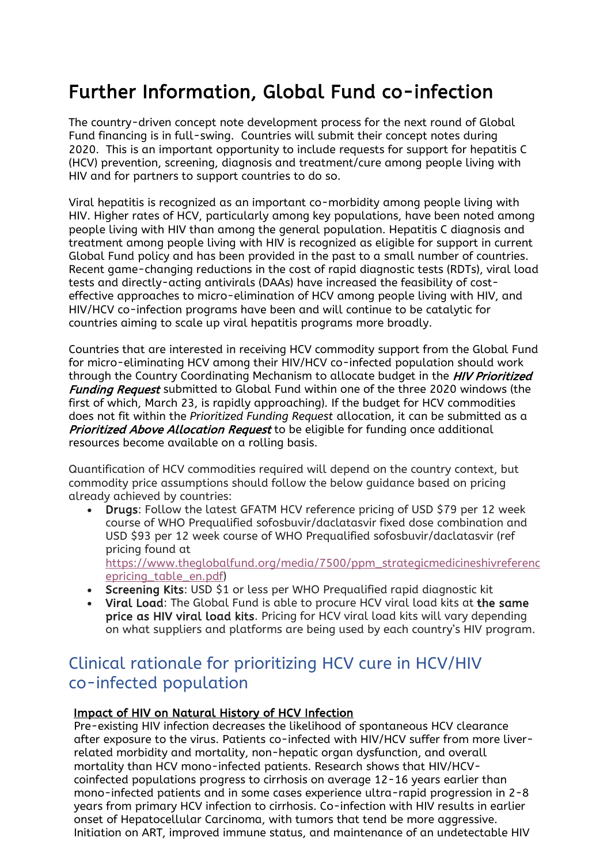# Further Information, Global Fund co-infection

The country-driven concept note development process for the next round of Global Fund financing is in full-swing. Countries will submit their concept notes during 2020. This is an important opportunity to include requests for support for hepatitis C (HCV) prevention, screening, diagnosis and treatment/cure among people living with HIV and for partners to support countries to do so.

Viral hepatitis is recognized as an important co-morbidity among people living with HIV. Higher rates of HCV, particularly among key populations, have been noted among people living with HIV than among the general population. Hepatitis C diagnosis and treatment among people living with HIV is recognized as eligible for support in current Global Fund policy and has been provided in the past to a small number of countries. Recent game-changing reductions in the cost of rapid diagnostic tests (RDTs), viral load tests and directly-acting antivirals (DAAs) have increased the feasibility of costeffective approaches to micro-elimination of HCV among people living with HIV, and HIV/HCV co-infection programs have been and will continue to be catalytic for countries aiming to scale up viral hepatitis programs more broadly.

Countries that are interested in receiving HCV commodity support from the Global Fund for micro-eliminating HCV among their HIV/HCV co-infected population should work through the Country Coordinating Mechanism to allocate budget in the *HIV Prioritized* Funding Request submitted to Global Fund within one of the three 2020 windows (the first of which, March 23, is rapidly approaching)*.* If the budget for HCV commodities does not fit within the *Prioritized Funding Request* allocation, it can be submitted as a **Prioritized Above Allocation Request** to be eligible for funding once additional resources become available on a rolling basis.

Quantification of HCV commodities required will depend on the country context, but commodity price assumptions should follow the below guidance based on pricing already achieved by countries:

• Drugs: Follow the latest GFATM HCV reference pricing of USD \$79 per 12 week course of WHO Prequalified sofosbuvir/daclatasvir fixed dose combination and USD \$93 per 12 week course of WHO Prequalified sofosbuvir/daclatasvir (ref pricing found at

[https://www.theglobalfund.org/media/7500/ppm\\_strategicmedicineshivreferenc](https://www.theglobalfund.org/media/7500/ppm_strategicmedicineshivreferencepricing_table_en.pdf) [epricing\\_table\\_en.pdf\)](https://www.theglobalfund.org/media/7500/ppm_strategicmedicineshivreferencepricing_table_en.pdf)

- Screening Kits: USD \$1 or less per WHO Prequalified rapid diagnostic kit
- Viral Load: The Global Fund is able to procure HCV viral load kits at the same price as HIV viral load kits. Pricing for HCV viral load kits will vary depending on what suppliers and platforms are being used by each country's HIV program.

# Clinical rationale for prioritizing HCV cure in HCV/HIV co-infected population

# Impact of HIV on Natural History of HCV Infection

Pre-existing HIV infection decreases the likelihood of spontaneous HCV clearance after exposure to the virus. Patients co-infected with HIV/HCV suffer from more liverrelated morbidity and mortality, non-hepatic organ dysfunction, and overall mortality than HCV mono-infected patients. Research shows that HIV/HCVcoinfected populations progress to cirrhosis on average 12-16 years earlier than mono-infected patients and in some cases experience ultra-rapid progression in 2-8 years from primary HCV infection to cirrhosis. Co-infection with HIV results in earlier onset of Hepatocellular Carcinoma, with tumors that tend be more aggressive. Initiation on ART, improved immune status, and maintenance of an undetectable HIV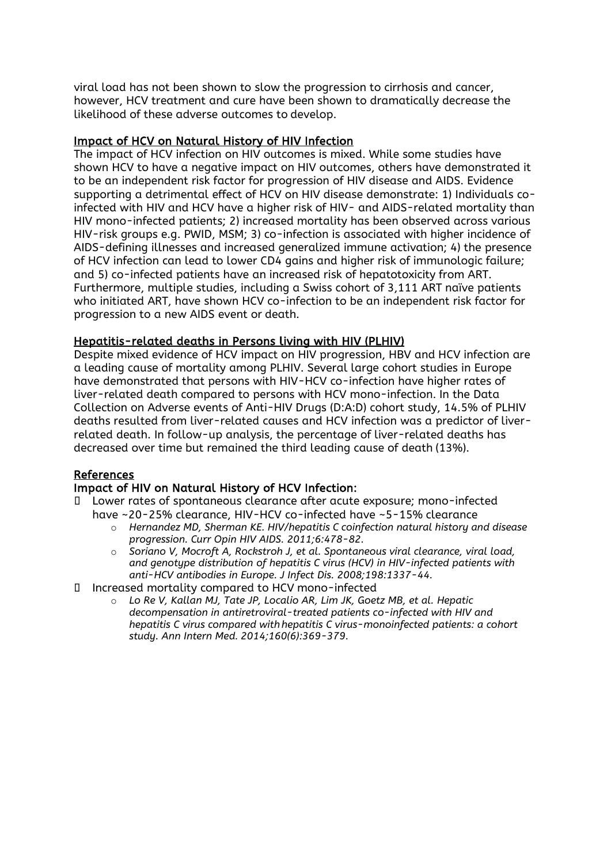viral load has not been shown to slow the progression to cirrhosis and cancer, however, HCV treatment and cure have been shown to dramatically decrease the likelihood of these adverse outcomes to develop.

#### Impact of HCV on Natural History of HIV Infection

The impact of HCV infection on HIV outcomes is mixed. While some studies have shown HCV to have a negative impact on HIV outcomes, others have demonstrated it to be an independent risk factor for progression of HIV disease and AIDS. Evidence supporting a detrimental effect of HCV on HIV disease demonstrate: 1) Individuals coinfected with HIV and HCV have a higher risk of HIV- and AIDS-related mortality than HIV mono-infected patients; 2) increased mortality has been observed across various HIV-risk groups e.g. PWID, MSM; 3) co-infection is associated with higher incidence of AIDS-defining illnesses and increased generalized immune activation; 4) the presence of HCV infection can lead to lower CD4 gains and higher risk of immunologic failure; and 5) co-infected patients have an increased risk of hepatotoxicity from ART. Furthermore, multiple studies, including a Swiss cohort of 3,111 ART naïve patients who initiated ART, have shown HCV co-infection to be an independent risk factor for progression to a new AIDS event or death.

#### Hepatitis-related deaths in Persons living with HIV (PLHIV)

Despite mixed evidence of HCV impact on HIV progression, HBV and HCV infection are a leading cause of mortality among PLHIV. Several large cohort studies in Europe have demonstrated that persons with HIV-HCV co-infection have higher rates of liver-related death compared to persons with HCV mono-infection. In the Data Collection on Adverse events of Anti-HIV Drugs (D:A:D) cohort study, 14.5% of PLHIV deaths resulted from liver-related causes and HCV infection was a predictor of liverrelated death. In follow-up analysis, the percentage of liver-related deaths has decreased over time but remained the third leading cause of death (13%).

#### References

#### Impact of HIV on Natural History of HCV Infection:

Lower rates of spontaneous clearance after acute exposure; mono-infected have ~20-25% clearance, HIV-HCV co-infected have ~5-15% clearance

- o *Hernandez MD, Sherman KE. HIV/hepatitis C coinfection natural history and disease progression. Curr Opin HIV AIDS. 2011;6:478-82.*
- o *Soriano V, Mocroft A, Rockstroh J, et al. Spontaneous viral clearance, viral load, and genotype distribution of hepatitis C virus (HCV) in HIV-infected patients with anti-HCV antibodies in Europe. J Infect Dis. 2008;198:1337-44.*

Increased mortality compared to HCV mono-infected

o *Lo Re V, Kallan MJ, Tate JP, Localio AR, Lim JK, Goetz MB, et al. Hepatic decompensation in antiretroviral-treated patients co-infected with HIV and hepatitis C virus compared with hepatitis C virus-monoinfected patients: a cohort study. Ann Intern Med. 2014;160(6):369-379.*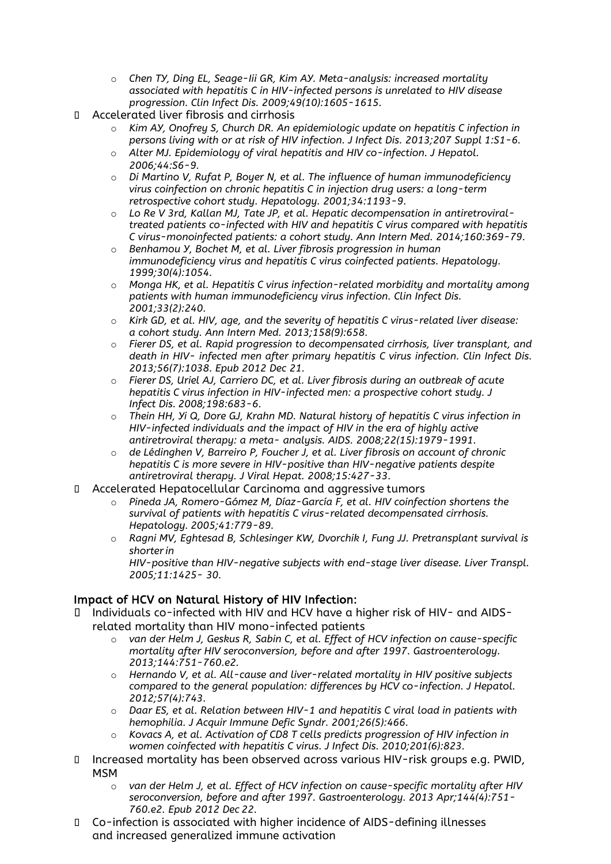o *Chen TY, Ding EL, Seage-Iii GR, Kim AY. Meta-analysis: increased mortality associated with hepatitis C in HIV-infected persons is unrelated to HIV disease progression. Clin Infect Dis. 2009;49(10):1605-1615.*

Accelerated liver fibrosis and cirrhosis

- o *Kim AY, Onofrey S, Church DR. An epidemiologic update on hepatitis C infection in persons living with or at risk of HIV infection. J Infect Dis. 2013;207 Suppl 1:S1-6.*
- o *Alter MJ. Epidemiology of viral hepatitis and HIV co-infection. J Hepatol. 2006;44:S6-9.*
- o *Di Martino V, Rufat P, Boyer N, et al. The influence of human immunodeficiency virus coinfection on chronic hepatitis C in injection drug users: a long-term retrospective cohort study. Hepatology. 2001;34:1193-9.*
- o *Lo Re V 3rd, Kallan MJ, Tate JP, et al. Hepatic decompensation in antiretroviraltreated patients co-infected with HIV and hepatitis C virus compared with hepatitis C virus-monoinfected patients: a cohort study. Ann Intern Med. 2014;160:369-79.*
- o *Benhamou Y, Bochet M, et al. Liver fibrosis progression in human immunodeficiency virus and hepatitis C virus coinfected patients. Hepatology. 1999;30(4):1054.*
- o *Monga HK, et al. Hepatitis C virus infection-related morbidity and mortality among patients with human immunodeficiency virus infection. Clin Infect Dis. 2001;33(2):240.*
- o *Kirk GD, et al. HIV, age, and the severity of hepatitis C virus-related liver disease: a cohort study. Ann Intern Med. 2013;158(9):658.*
- o *Fierer DS, et al. Rapid progression to decompensated cirrhosis, liver transplant, and death in HIV- infected men after primary hepatitis C virus infection. Clin Infect Dis. 2013;56(7):1038. Epub 2012 Dec 21.*
- o *Fierer DS, Uriel AJ, Carriero DC, et al. Liver fibrosis during an outbreak of acute hepatitis C virus infection in HIV-infected men: a prospective cohort study. J Infect Dis. 2008;198:683-6.*
- o *Thein HH, Yi Q, Dore GJ, Krahn MD. Natural history of hepatitis C virus infection in HIV-infected individuals and the impact of HIV in the era of highly active antiretroviral therapy: a meta- analysis. AIDS. 2008;22(15):1979-1991.*
- o *de Lédinghen V, Barreiro P, Foucher J, et al. Liver fibrosis on account of chronic hepatitis C is more severe in HIV-positive than HIV-negative patients despite antiretroviral therapy. J Viral Hepat. 2008;15:427-33.*

Accelerated Hepatocellular Carcinoma and aggressive tumors

- o *Pineda JA, Romero-Gómez M, Díaz-García F, et al. HIV coinfection shortens the survival of patients with hepatitis C virus-related decompensated cirrhosis. Hepatology. 2005;41:779-89.*
- o *Ragni MV, Eghtesad B, Schlesinger KW, Dvorchik I, Fung JJ. Pretransplant survival is shorter in*

*HIV-positive than HIV-negative subjects with end-stage liver disease. Liver Transpl. 2005;11:1425- 30.*

# Impact of HCV on Natural History of HIV Infection:

Individuals co-infected with HIV and HCV have a higher risk of HIV- and AIDSrelated mortality than HIV mono-infected patients

- o *van der Helm J, Geskus R, Sabin C, et al. Effect of HCV infection on cause-specific mortality after HIV seroconversion, before and after 1997. Gastroenterology. 2013;144:751-760.e2.*
- o *Hernando V, et al. All-cause and liver-related mortality in HIV positive subjects compared to the general population: differences by HCV co-infection. J Hepatol. 2012;57(4):743.*
- o *Daar ES, et al. Relation between HIV-1 and hepatitis C viral load in patients with hemophilia. J Acquir Immune Defic Syndr. 2001;26(5):466.*
- o *Kovacs A, et al. Activation of CD8 T cells predicts progression of HIV infection in women coinfected with hepatitis C virus. J Infect Dis. 2010;201(6):823.*

Increased mortality has been observed across various HIV-risk groups e.g. PWID, MSM

o *van der Helm J, et al. Effect of HCV infection on cause-specific mortality after HIV seroconversion, before and after 1997. Gastroenterology. 2013 Apr;144(4):751- 760.e2. Epub 2012 Dec 22.*

Co-infection is associated with higher incidence of AIDS-defining illnesses and increased generalized immune activation